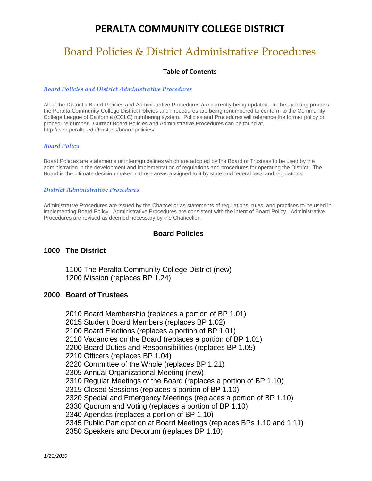# Board Policies & District Administrative Procedures

#### **Table of Contents**

#### *Board Policies and District Administrative Procedures*

All of the District's Board Policies and Administrative Procedures are currently being updated. In the updating process, the Peralta Community College District Policies and Procedures are being renumbered to conform to the Community College League of California (CCLC) numbering system. Policies and Procedures will reference the former policy or procedure number. Current Board Policies and Administrative Procedures can be found at http://web.peralta.edu/trustees/board-policies/

#### *Board Policy*

Board Policies are statements or intent/guidelines which are adopted by the Board of Trustees to be used by the administration in the development and implementation of regulations and procedures for operating the District. The Board is the ultimate decision maker in those areas assigned to it by state and federal laws and regulations.

#### *District Administrative Procedures*

Administrative Procedures are issued by the Chancellor as statements of regulations, rules, and practices to be used in implementing Board Policy. Administrative Procedures are consistent with the intent of Board Policy. Administrative Procedures are revised as deemed necessary by the Chancellor.

#### **Board Policies**

#### **1000 The District**

1100 The Peralta Community College District (new) 1200 Mission (replaces BP 1.24)

#### **2000 Board of Trustees**

2010 Board Membership (replaces a portion of BP 1.01) 2015 Student Board Members (replaces BP 1.02) 2100 Board Elections (replaces a portion of BP 1.01) 2110 Vacancies on the Board (replaces a portion of BP 1.01) 2200 Board Duties and Responsibilities (replaces BP 1.05) 2210 Officers (replaces BP 1.04) 2220 Committee of the Whole (replaces BP 1.21) 2305 Annual Organizational Meeting (new) 2310 Regular Meetings of the Board (replaces a portion of BP 1.10) 2315 Closed Sessions (replaces a portion of BP 1.10) 2320 Special and Emergency Meetings (replaces a portion of BP 1.10) 2330 Quorum and Voting (replaces a portion of BP 1.10) 2340 Agendas (replaces a portion of BP 1.10) 2345 Public Participation at Board Meetings (replaces BPs 1.10 and 1.11) 2350 Speakers and Decorum (replaces BP 1.10)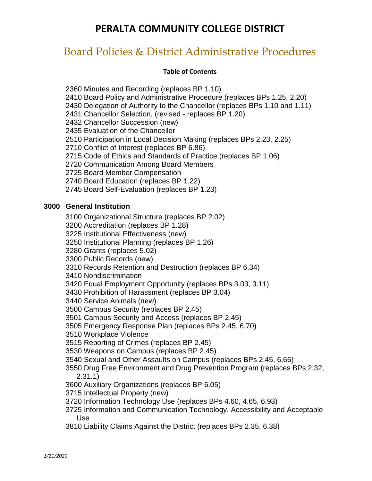## Board Policies & District Administrative Procedures

#### **Table of Contents**

2360 Minutes and Recording (replaces BP 1.10) 2410 Board Policy and Administrative Procedure (replaces BPs 1.25, 2.20) 2430 Delegation of Authority to the Chancellor (replaces BPs 1.10 and 1.11) 2431 Chancellor Selection, (revised - replaces BP 1.20) 2432 Chancellor Succession (new) 2435 Evaluation of the Chancellor 2510 Participation in Local Decision Making (replaces BPs 2.23, 2.25) 2710 Conflict of Interest (replaces BP 6.86) 2715 Code of Ethics and Standards of Practice (replaces BP 1.06) 2720 Communication Among Board Members 2725 Board Member Compensation 2740 Board Education (replaces BP 1.22) 2745 Board Self-Evaluation (replaces BP 1.23)

### **3000 General Institution**

3100 Organizational Structure (replaces BP 2.02)

3200 Accreditation (replaces BP 1.28)

3225 Institutional Effectiveness (new)

3250 Institutional Planning (replaces BP 1.26)

3280 Grants (replaces 5.02)

3300 Public Records (new)

3310 Records Retention and Destruction (replaces BP 6.34)

3410 Nondiscrimination

3420 Equal Employment Opportunity (replaces BPs 3.03, 3.11)

3430 Prohibition of Harassment (replaces BP 3.04)

3440 Service Animals (new)

3500 Campus Security (replaces BP 2.45)

3501 Campus Security and Access (replaces BP 2.45)

3505 Emergency Response Plan (replaces BPs 2.45, 6.70)

3510 Workplace Violence

3515 Reporting of Crimes (replaces BP 2.45)

3530 Weapons on Campus (replaces BP 2.45)

3540 Sexual and Other Assaults on Campus (replaces BPs 2.45, 6.66)

3550 Drug Free Environment and Drug Prevention Program (replaces BPs 2.32, 2.31.1)

3600 Auxiliary Organizations (replaces BP 6.05)

3715 Intellectual Property (new)

3720 Information Technology Use (replaces BPs 4.60, 4.65, 6.93)

3725 Information and Communication Technology, Accessibility and Acceptable Use

3810 Liability Claims Against the District (replaces BPs 2.35, 6.38)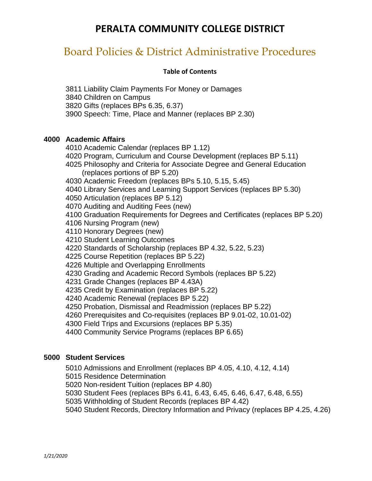## Board Policies & District Administrative Procedures

#### **Table of Contents**

3811 Liability Claim Payments For Money or Damages 3840 Children on Campus 3820 Gifts (replaces BPs 6.35, 6.37) 3900 Speech: Time, Place and Manner (replaces BP 2.30)

#### **4000 Academic Affairs**

4010 Academic Calendar (replaces BP 1.12) 4020 Program, Curriculum and Course Development (replaces BP 5.11) 4025 Philosophy and Criteria for Associate Degree and General Education (replaces portions of BP 5.20) 4030 Academic Freedom (replaces BPs 5.10, 5.15, 5.45) 4040 Library Services and Learning Support Services (replaces BP 5.30) 4050 Articulation (replaces BP 5.12) 4070 Auditing and Auditing Fees (new) 4100 Graduation Requirements for Degrees and Certificates (replaces BP 5.20) 4106 Nursing Program (new) 4110 Honorary Degrees (new) 4210 Student Learning Outcomes 4220 Standards of Scholarship (replaces BP 4.32, 5.22, 5.23) 4225 Course Repetition (replaces BP 5.22) 4226 Multiple and Overlapping Enrollments 4230 Grading and Academic Record Symbols (replaces BP 5.22) 4231 Grade Changes (replaces BP 4.43A) 4235 Credit by Examination (replaces BP 5.22) 4240 Academic Renewal (replaces BP 5.22) 4250 Probation, Dismissal and Readmission (replaces BP 5.22) 4260 Prerequisites and Co-requisites (replaces BP 9.01-02, 10.01-02) 4300 Field Trips and Excursions (replaces BP 5.35) 4400 Community Service Programs (replaces BP 6.65)

#### **5000 Student Services**

5010 Admissions and Enrollment (replaces BP 4.05, 4.10, 4.12, 4.14)

5015 Residence Determination

5020 Non-resident Tuition (replaces BP 4.80)

5030 Student Fees (replaces BPs 6.41, 6.43, 6.45, 6.46, 6.47, 6.48, 6.55)

5035 Withholding of Student Records (replaces BP 4.42)

5040 Student Records, Directory Information and Privacy (replaces BP 4.25, 4.26)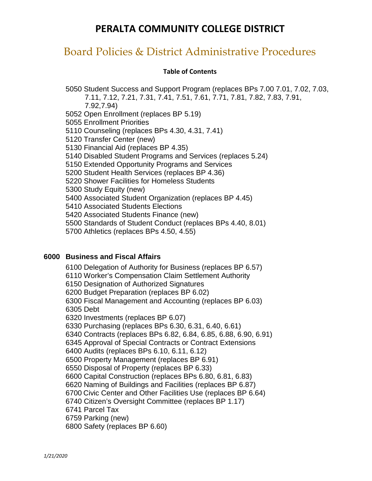## Board Policies & District Administrative Procedures

#### **Table of Contents**

5050 Student Success and Support Program (replaces BPs 7.00 7.01, 7.02, 7.03, 7.11, 7.12, 7.21, 7.31, 7.41, 7.51, 7.61, 7.71, 7.81, 7.82, 7.83, 7.91, 7.92,7.94) 5052 Open Enrollment (replaces BP 5.19) 5055 Enrollment Priorities 5110 Counseling (replaces BPs 4.30, 4.31, 7.41) 5120 Transfer Center (new) 5130 Financial Aid (replaces BP 4.35) 5140 Disabled Student Programs and Services (replaces 5.24) 5150 Extended Opportunity Programs and Services 5200 Student Health Services (replaces BP 4.36) 5220 Shower Facilities for Homeless Students 5300 Study Equity (new) 5400 Associated Student Organization (replaces BP 4.45) 5410 Associated Students Elections 5420 Associated Students Finance (new) 5500 Standards of Student Conduct (replaces BPs 4.40, 8.01) 5700 Athletics (replaces BPs 4.50, 4.55)

#### **6000 Business and Fiscal Affairs**

6100 Delegation of Authority for Business (replaces BP 6.57) 6110 Worker's Compensation Claim Settlement Authority 6150 Designation of Authorized Signatures 6200 Budget Preparation (replaces BP 6.02) 6300 Fiscal Management and Accounting (replaces BP 6.03) 6305 Debt 6320 Investments (replaces BP 6.07) 6330 Purchasing (replaces BPs 6.30, 6.31, 6.40, 6.61) 6340 Contracts (replaces BPs 6.82, 6.84, 6.85, 6.88, 6.90, 6.91) 6345 Approval of Special Contracts or Contract Extensions 6400 Audits (replaces BPs 6.10, 6.11, 6.12) 6500 Property Management (replaces BP 6.91) 6550 Disposal of Property (replaces BP 6.33) 6600 Capital Construction (replaces BPs 6.80, 6.81, 6.83) 6620 Naming of Buildings and Facilities (replaces BP 6.87) 6700 Civic Center and Other Facilities Use (replaces BP 6.64) 6740 Citizen's Oversight Committee (replaces BP 1.17) 6741 Parcel Tax 6759 Parking (new) 6800 Safety (replaces BP 6.60)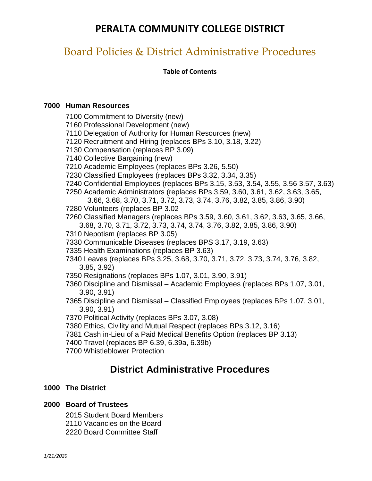## Board Policies & District Administrative Procedures

**Table of Contents**

#### **7000 Human Resources**

7100 Commitment to Diversity (new) 7160 Professional Development (new) 7110 Delegation of Authority for Human Resources (new) 7120 Recruitment and Hiring (replaces BPs 3.10, 3.18, 3.22) 7130 Compensation (replaces BP 3.09) 7140 Collective Bargaining (new) 7210 Academic Employees (replaces BPs 3.26, 5.50) 7230 Classified Employees (replaces BPs 3.32, 3.34, 3.35) 7240 Confidential Employees (replaces BPs 3.15, 3.53, 3.54, 3.55, 3.56 3.57, 3.63) 7250 Academic Administrators (replaces BPs 3.59, 3.60, 3.61, 3.62, 3.63, 3.65, 3.66, 3.68, 3.70, 3.71, 3.72, 3.73, 3.74, 3.76, 3.82, 3.85, 3.86, 3.90) 7280 Volunteers (replaces BP 3.02 7260 Classified Managers (replaces BPs 3.59, 3.60, 3.61, 3.62, 3.63, 3.65, 3.66, 3.68, 3.70, 3.71, 3.72, 3.73, 3.74, 3.74, 3.76, 3.82, 3.85, 3.86, 3.90) 7310 Nepotism (replaces BP 3.05) 7330 Communicable Diseases (replaces BPS 3.17, 3.19, 3.63) 7335 Health Examinations (replaces BP 3.63) 7340 Leaves (replaces BPs 3.25, 3.68, 3.70, 3.71, 3.72, 3.73, 3.74, 3.76, 3.82, 3.85, 3.92) 7350 Resignations (replaces BPs 1.07, 3.01, 3.90, 3.91) 7360 Discipline and Dismissal – Academic Employees (replaces BPs 1.07, 3.01, 3.90, 3.91) 7365 Discipline and Dismissal – Classified Employees (replaces BPs 1.07, 3.01, 3.90, 3.91) 7370 Political Activity (replaces BPs 3.07, 3.08) 7380 Ethics, Civility and Mutual Respect (replaces BPs 3.12, 3.16)

- 7381 Cash in-Lieu of a Paid Medical Benefits Option (replaces BP 3.13)
- 7400 Travel (replaces BP 6.39, 6.39a, 6.39b)
- 7700 Whistleblower Protection

### **District Administrative Procedures**

#### **1000 The District**

#### **2000 Board of Trustees**

2015 Student Board Members 2110 Vacancies on the Board 2220 Board Committee Staff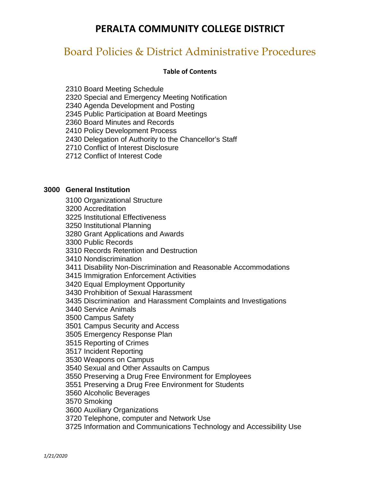## Board Policies & District Administrative Procedures

#### **Table of Contents**

2310 Board Meeting Schedule

2320 Special and Emergency Meeting Notification

2340 Agenda Development and Posting

2345 Public Participation at Board Meetings

2360 Board Minutes and Records

2410 Policy Development Process

2430 Delegation of Authority to the Chancellor's Staff

2710 Conflict of Interest Disclosure

2712 Conflict of Interest Code

#### **3000 General Institution**

3100 Organizational Structure

3200 Accreditation

3225 Institutional Effectiveness

3250 Institutional Planning

3280 Grant Applications and Awards

3300 Public Records

3310 Records Retention and Destruction

3410 Nondiscrimination

3411 Disability Non-Discrimination and Reasonable Accommodations

3415 Immigration Enforcement Activities

3420 Equal Employment Opportunity

3430 Prohibition of Sexual Harassment

3435 Discrimination and Harassment Complaints and Investigations

3440 Service Animals

3500 Campus Safety

3501 Campus Security and Access

3505 Emergency Response Plan

3515 Reporting of Crimes

3517 Incident Reporting

3530 Weapons on Campus

3540 Sexual and Other Assaults on Campus

3550 Preserving a Drug Free Environment for Employees

3551 Preserving a Drug Free Environment for Students

3560 Alcoholic Beverages

3570 Smoking

3600 Auxiliary Organizations

3720 Telephone, computer and Network Use

3725 Information and Communications Technology and Accessibility Use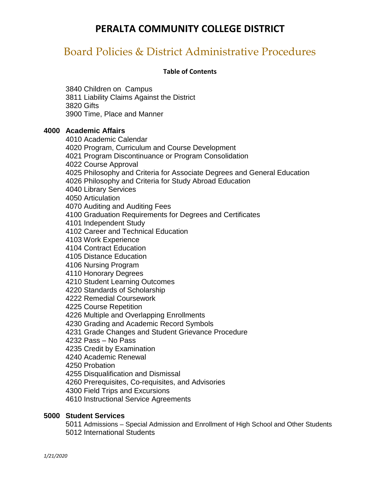## Board Policies & District Administrative Procedures

#### **Table of Contents**

3840 Children on Campus 3811 Liability Claims Against the District 3820 Gifts 3900 Time, Place and Manner

#### **4000 Academic Affairs**

4010 Academic Calendar 4020 Program, Curriculum and Course Development 4021 Program Discontinuance or Program Consolidation 4022 Course Approval 4025 Philosophy and Criteria for Associate Degrees and General Education 4026 Philosophy and Criteria for Study Abroad Education 4040 Library Services 4050 Articulation 4070 Auditing and Auditing Fees 4100 Graduation Requirements for Degrees and Certificates 4101 Independent Study 4102 Career and Technical Education 4103 Work Experience 4104 Contract Education 4105 Distance Education 4106 Nursing Program 4110 Honorary Degrees 4210 Student Learning Outcomes 4220 Standards of Scholarship 4222 Remedial Coursework 4225 Course Repetition 4226 Multiple and Overlapping Enrollments 4230 Grading and Academic Record Symbols 4231 Grade Changes and Student Grievance Procedure 4232 Pass – No Pass 4235 Credit by Examination 4240 Academic Renewal 4250 Probation 4255 Disqualification and Dismissal 4260 Prerequisites, Co-requisites, and Advisories 4300 Field Trips and Excursions 4610 Instructional Service Agreements

### **5000 Student Services**

5011 Admissions – Special Admission and Enrollment of High School and Other Students 5012 International Students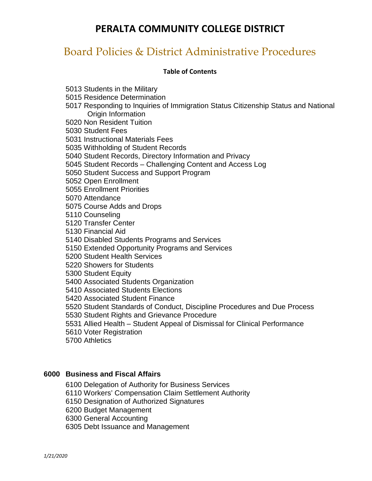## Board Policies & District Administrative Procedures

#### **Table of Contents**

5013 Students in the Military

5015 Residence Determination

5017 Responding to Inquiries of Immigration Status Citizenship Status and National Origin Information

5020 Non Resident Tuition

5030 Student Fees

5031 Instructional Materials Fees

5035 Withholding of Student Records

5040 Student Records, Directory Information and Privacy

5045 Student Records – Challenging Content and Access Log

5050 Student Success and Support Program

5052 Open Enrollment

5055 Enrollment Priorities

5070 Attendance

5075 Course Adds and Drops

5110 Counseling

5120 Transfer Center

5130 Financial Aid

5140 Disabled Students Programs and Services

5150 Extended Opportunity Programs and Services

5200 Student Health Services

5220 Showers for Students

5300 Student Equity

5400 Associated Students Organization

5410 Associated Students Elections

5420 Associated Student Finance

5520 Student Standards of Conduct, Discipline Procedures and Due Process

5530 Student Rights and Grievance Procedure

5531 Allied Health – Student Appeal of Dismissal for Clinical Performance

5610 Voter Registration

5700 Athletics

#### **6000 Business and Fiscal Affairs**

6100 Delegation of Authority for Business Services

6110 Workers' Compensation Claim Settlement Authority

6150 Designation of Authorized Signatures

6200 Budget Management

6300 General Accounting

6305 Debt Issuance and Management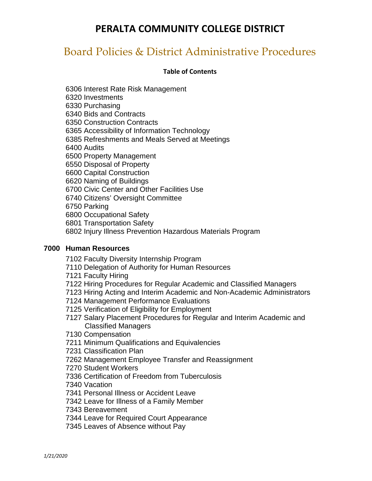## Board Policies & District Administrative Procedures

#### **Table of Contents**

6306 Interest Rate Risk Management 6320 Investments 6330 Purchasing 6340 Bids and Contracts 6350 Construction Contracts 6365 Accessibility of Information Technology 6385 Refreshments and Meals Served at Meetings 6400 Audits 6500 Property Management 6550 Disposal of Property 6600 Capital Construction 6620 Naming of Buildings 6700 Civic Center and Other Facilities Use 6740 Citizens' Oversight Committee 6750 Parking 6800 Occupational Safety 6801 Transportation Safety 6802 Injury Illness Prevention Hazardous Materials Program

### **7000 Human Resources**

7102 Faculty Diversity Internship Program

- 7110 Delegation of Authority for Human Resources
- 7121 Faculty Hiring
- 7122 Hiring Procedures for Regular Academic and Classified Managers
- 7123 Hiring Acting and Interim Academic and Non-Academic Administrators
- 7124 Management Performance Evaluations
- 7125 Verification of Eligibility for Employment
- 7127 Salary Placement Procedures for Regular and Interim Academic and Classified Managers
- 7130 Compensation
- 7211 Minimum Qualifications and Equivalencies
- 7231 Classification Plan
- 7262 Management Employee Transfer and Reassignment
- 7270 Student Workers
- 7336 Certification of Freedom from Tuberculosis
- 7340 Vacation
- 7341 Personal Illness or Accident Leave
- 7342 Leave for Illness of a Family Member
- 7343 Bereavement
- 7344 Leave for Required Court Appearance
- 7345 Leaves of Absence without Pay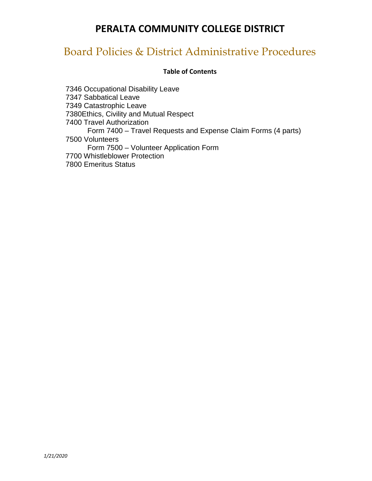## Board Policies & District Administrative Procedures

#### **Table of Contents**

7346 Occupational Disability Leave 7347 Sabbatical Leave 7349 Catastrophic Leave 7380Ethics, Civility and Mutual Respect 7400 Travel Authorization Form 7400 – Travel Requests and Expense Claim Forms (4 parts) 7500 Volunteers Form 7500 – Volunteer Application Form 7700 Whistleblower Protection 7800 Emeritus Status